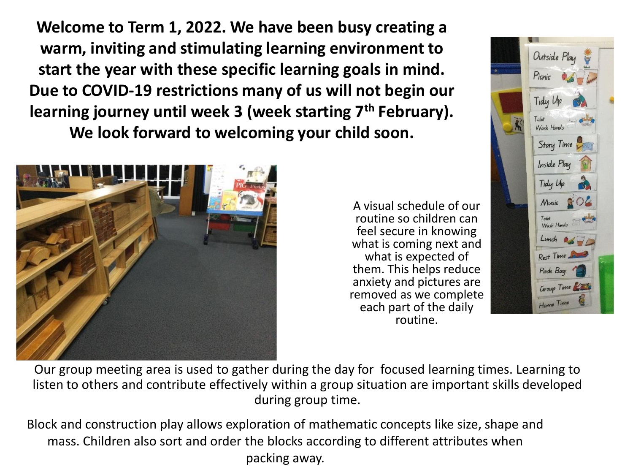**Welcome to Term 1, 2022. We have been busy creating a warm, inviting and stimulating learning environment to start the year with these specific learning goals in mind. Due to COVID-19 restrictions many of us will not begin our learning journey until week 3 (week starting 7th February). We look forward to welcoming your child soon.**



A visual schedule of our routine so children can feel secure in knowing what is coming next and what is expected of them. This helps reduce anxiety and pictures are removed as we complete each part of the daily routine.



Our group meeting area is used to gather during the day for focused learning times. Learning to listen to others and contribute effectively within a group situation are important skills developed during group time.

Block and construction play allows exploration of mathematic concepts like size, shape and mass. Children also sort and order the blocks according to different attributes when packing away.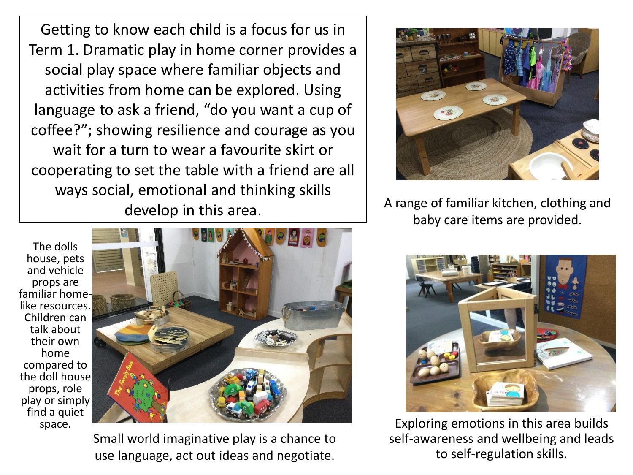Getting to know each child is a focus for us in Term 1. Dramatic play in home corner provides a social play space where familiar objects and activities from home can be explored. Using language to ask a friend, "do you want a cup of coffee?"; showing resilience and courage as you wait for a turn to wear a favourite skirt or cooperating to set the table with a friend are all ways social, emotional and thinking skills develop in this area.

The dolls house, pets and vehicle props are familiar homelike resources. Children can talk about their own home compared to the doll house props, role play or simply find a quiet space.



Small world imaginative play is a chance to use language, act out ideas and negotiate.



A range of familiar kitchen, clothing and baby care items are provided.



Exploring emotions in this area builds self-awareness and wellbeing and leads to self-regulation skills.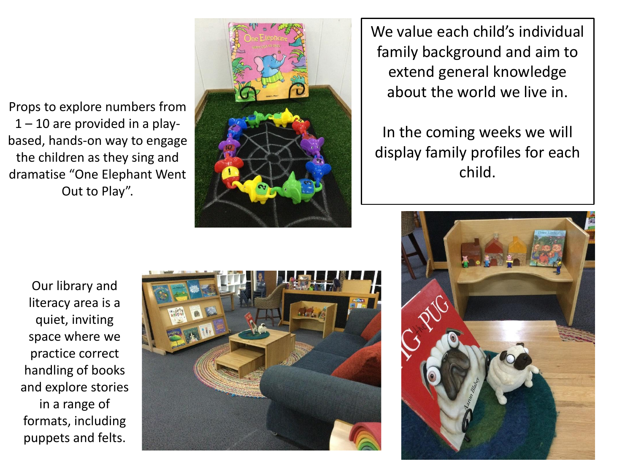Props to explore numbers from  $1 - 10$  are provided in a playbased, hands-on way to engage the children as they sing and dramatise "One Elephant Went Out to Play".



We value each child's individual family background and aim to extend general knowledge about the world we live in.

In the coming weeks we will display family profiles for each child.

Our library and literacy area is a quiet, inviting space where we practice correct handling of books and explore stories in a range of formats, including puppets and felts.